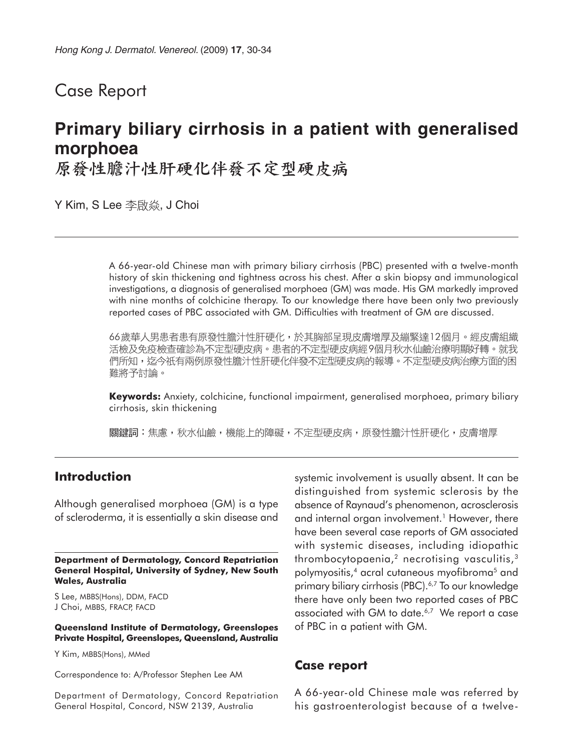## Case Report

# **Primary biliary cirrhosis in a patient with generalised morphoea**

原發性膽汁性肝硬化伴發不定型硬皮病

Y Kim, S Lee 李啟焱, J Choi

A 66-year-old Chinese man with primary biliary cirrhosis (PBC) presented with a twelve-month history of skin thickening and tightness across his chest. After a skin biopsy and immunological investigations, a diagnosis of generalised morphoea (GM) was made. His GM markedly improved with nine months of colchicine therapy. To our knowledge there have been only two previously reported cases of PBC associated with GM. Difficulties with treatment of GM are discussed.

66歲華人男患者患有原發性膽汁性肝硬化,於其胸部呈現皮膚增厚及繃緊達12個月。經皮膚組織 活檢及免疫檢查確診為不定型硬皮病。患者的不定型硬皮病經9個月秋水仙鹼治療明顯好轉。就我 們所知,迄今祇有兩例原發性膽汁性肝硬化伴發不定型硬皮病的報導。不定型硬皮病治療方面的困 難將予討論。

**Keywords:** Anxiety, colchicine, functional impairment, generalised morphoea, primary biliary cirrhosis, skin thickening

關鍵詞:焦慮,秋水仙鹼,機能上的障礙,不定型硬皮病,原發性膽汁性肝硬化,皮膚增厚

## **Introduction**

Although generalised morphoea (GM) is a type of scleroderma, it is essentially a skin disease and

**Department of Dermatology, Concord Repatriation General Hospital, University of Sydney, New South Wales, Australia**

S Lee, MBBS(Hons), DDM, FACD J Choi, MBBS, FRACP, FACD

#### **Queensland Institute of Dermatology, Greenslopes Private Hospital, Greenslopes, Queensland, Australia**

Y Kim, MBBS(Hons), MMed

Correspondence to: A/Professor Stephen Lee AM

Department of Dermatology, Concord Repatriation General Hospital, Concord, NSW 2139, Australia

systemic involvement is usually absent. It can be distinguished from systemic sclerosis by the absence of Raynaud's phenomenon, acrosclerosis and internal organ involvement.<sup>1</sup> However, there have been several case reports of GM associated with systemic diseases, including idiopathic thrombocytopaenia,<sup>2</sup> necrotising vasculitis,<sup>3</sup> polymyositis,4 acral cutaneous myofibroma5 and primary biliary cirrhosis (PBC).<sup>6,7</sup> To our knowledge there have only been two reported cases of PBC associated with GM to date.<sup>6,7</sup> We report a case of PBC in a patient with GM.

#### **Case report**

A 66-year-old Chinese male was referred by his gastroenterologist because of a twelve-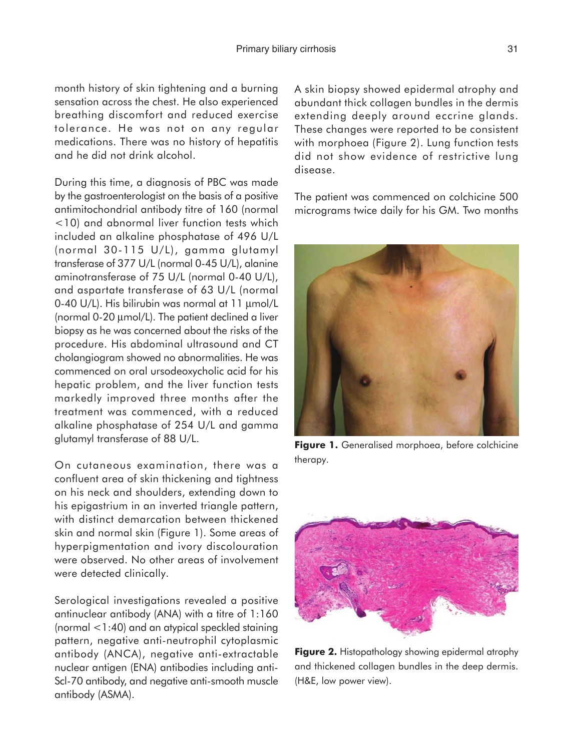month history of skin tightening and a burning sensation across the chest. He also experienced breathing discomfort and reduced exercise tolerance. He was not on any regular medications. There was no history of hepatitis and he did not drink alcohol.

During this time, a diagnosis of PBC was made by the gastroenterologist on the basis of a positive antimitochondrial antibody titre of 160 (normal <10) and abnormal liver function tests which included an alkaline phosphatase of 496 U/L (normal 30-115 U/L), gamma glutamyl transferase of 377 U/L (normal 0-45 U/L), alanine aminotransferase of 75 U/L (normal 0-40 U/L), and aspartate transferase of 63 U/L (normal 0-40 U/L). His bilirubin was normal at 11 µmol/L (normal 0-20 µmol/L). The patient declined a liver biopsy as he was concerned about the risks of the procedure. His abdominal ultrasound and CT cholangiogram showed no abnormalities. He was commenced on oral ursodeoxycholic acid for his hepatic problem, and the liver function tests markedly improved three months after the treatment was commenced, with a reduced alkaline phosphatase of 254 U/L and gamma glutamyl transferase of 88 U/L.

On cutaneous examination, there was a confluent area of skin thickening and tightness on his neck and shoulders, extending down to his epigastrium in an inverted triangle pattern, with distinct demarcation between thickened skin and normal skin (Figure 1). Some areas of hyperpigmentation and ivory discolouration were observed. No other areas of involvement were detected clinically.

Serological investigations revealed a positive antinuclear antibody (ANA) with a titre of 1:160 (normal <1:40) and an atypical speckled staining pattern, negative anti-neutrophil cytoplasmic antibody (ANCA), negative anti-extractable nuclear antigen (ENA) antibodies including anti-Scl-70 antibody, and negative anti-smooth muscle antibody (ASMA).

A skin biopsy showed epidermal atrophy and abundant thick collagen bundles in the dermis extending deeply around eccrine glands. These changes were reported to be consistent with morphoea (Figure 2). Lung function tests did not show evidence of restrictive lung disease.

The patient was commenced on colchicine 500 micrograms twice daily for his GM. Two months



**Figure 1.** Generalised morphoea, before colchicine therapy.



**Figure 2.** Histopathology showing epidermal atrophy and thickened collagen bundles in the deep dermis. (H&E, low power view).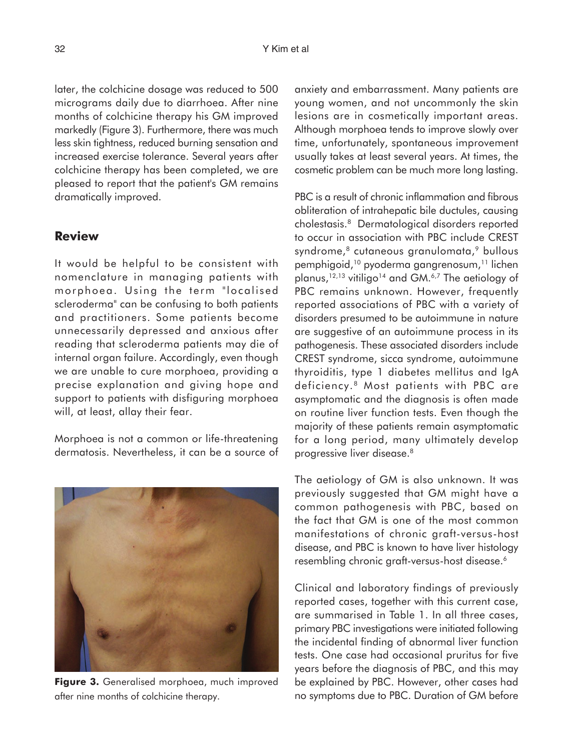later, the colchicine dosage was reduced to 500 micrograms daily due to diarrhoea. After nine months of colchicine therapy his GM improved markedly (Figure 3). Furthermore, there was much less skin tightness, reduced burning sensation and increased exercise tolerance. Several years after colchicine therapy has been completed, we are pleased to report that the patient's GM remains dramatically improved.

## **Review**

It would be helpful to be consistent with nomenclature in managing patients with morphoea. Using the term "localised scleroderma" can be confusing to both patients and practitioners. Some patients become unnecessarily depressed and anxious after reading that scleroderma patients may die of internal organ failure. Accordingly, even though we are unable to cure morphoea, providing a precise explanation and giving hope and support to patients with disfiguring morphoea will, at least, allay their fear.

Morphoea is not a common or life-threatening dermatosis. Nevertheless, it can be a source of



**Figure 3.** Generalised morphoea, much improved after nine months of colchicine therapy.

anxiety and embarrassment. Many patients are young women, and not uncommonly the skin lesions are in cosmetically important areas. Although morphoea tends to improve slowly over time, unfortunately, spontaneous improvement usually takes at least several years. At times, the cosmetic problem can be much more long lasting.

PBC is a result of chronic inflammation and fibrous obliteration of intrahepatic bile ductules, causing cholestasis.8 Dermatological disorders reported to occur in association with PBC include CREST syndrome,<sup>8</sup> cutaneous granulomata,<sup>9</sup> bullous pemphigoid,<sup>10</sup> pyoderma gangrenosum,<sup>11</sup> lichen planus,<sup>12,13</sup> vitiligo<sup>14</sup> and GM.<sup>6,7</sup> The aetiology of PBC remains unknown. However, frequently reported associations of PBC with a variety of disorders presumed to be autoimmune in nature are suggestive of an autoimmune process in its pathogenesis. These associated disorders include CREST syndrome, sicca syndrome, autoimmune thyroiditis, type 1 diabetes mellitus and IgA deficiency. 8 Most patients with PBC are asymptomatic and the diagnosis is often made on routine liver function tests. Even though the majority of these patients remain asymptomatic for a long period, many ultimately develop progressive liver disease.8

The aetiology of GM is also unknown. It was previously suggested that GM might have a common pathogenesis with PBC, based on the fact that GM is one of the most common manifestations of chronic graft-versus-host disease, and PBC is known to have liver histology resembling chronic graft-versus-host disease.6

Clinical and laboratory findings of previously reported cases, together with this current case, are summarised in Table 1. In all three cases, primary PBC investigations were initiated following the incidental finding of abnormal liver function tests. One case had occasional pruritus for five years before the diagnosis of PBC, and this may be explained by PBC. However, other cases had no symptoms due to PBC. Duration of GM before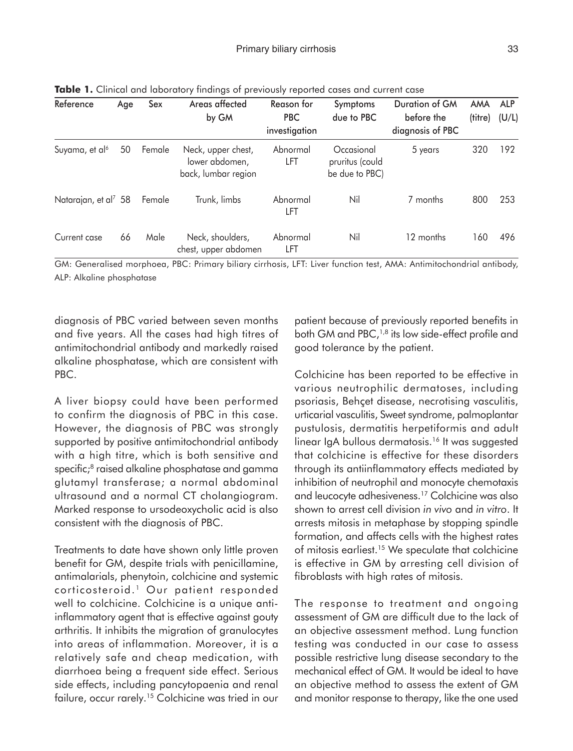| Reference                        | Age | Sex    | Areas affected<br>by GM                                     | Reason for<br><b>PBC</b><br>investigation | Symptoms<br>due to PBC                          | <b>Duration of GM</b><br>before the<br>diagnosis of PBC | <b>AMA</b><br>(titre) | <b>ALP</b><br>(U/L) |
|----------------------------------|-----|--------|-------------------------------------------------------------|-------------------------------------------|-------------------------------------------------|---------------------------------------------------------|-----------------------|---------------------|
| Suyama, et al <sup>6</sup>       | 50  | Female | Neck, upper chest,<br>lower abdomen,<br>back, lumbar region | Abnormal<br>LFT                           | Occasional<br>pruritus (could<br>be due to PBC) | 5 years                                                 | 320                   | 192                 |
| Natarajan, et al <sup>7</sup> 58 |     | Female | Trunk, limbs                                                | Abnormal<br>LFT                           | Nil                                             | 7 months                                                | 800                   | 253                 |
| Current case                     | 66  | Male   | Neck, shoulders,<br>chest, upper abdomen                    | Abnormal<br>LFT                           | Nil                                             | 12 months                                               | 160                   | 496                 |

**Table 1.** Clinical and laboratory findings of previously reported cases and current case

GM: Generalised morphoea, PBC: Primary biliary cirrhosis, LFT: Liver function test, AMA: Antimitochondrial antibody, ALP: Alkaline phosphatase

diagnosis of PBC varied between seven months and five years. All the cases had high titres of antimitochondrial antibody and markedly raised alkaline phosphatase, which are consistent with PBC.

A liver biopsy could have been performed to confirm the diagnosis of PBC in this case. However, the diagnosis of PBC was strongly supported by positive antimitochondrial antibody with a high titre, which is both sensitive and specific;<sup>8</sup> raised alkaline phosphatase and gamma glutamyl transferase; a normal abdominal ultrasound and a normal CT cholangiogram. Marked response to ursodeoxycholic acid is also consistent with the diagnosis of PBC.

Treatments to date have shown only little proven benefit for GM, despite trials with penicillamine, antimalarials, phenytoin, colchicine and systemic corticosteroid.<sup>1</sup> Our patient responded well to colchicine. Colchicine is a unique antiinflammatory agent that is effective against gouty arthritis. It inhibits the migration of granulocytes into areas of inflammation. Moreover, it is a relatively safe and cheap medication, with diarrhoea being a frequent side effect. Serious side effects, including pancytopaenia and renal failure, occur rarely.<sup>15</sup> Colchicine was tried in our

patient because of previously reported benefits in both GM and PBC,<sup>1,8</sup> its low side-effect profile and good tolerance by the patient.

Colchicine has been reported to be effective in various neutrophilic dermatoses, including psoriasis, Behçet disease, necrotising vasculitis, urticarial vasculitis, Sweet syndrome, palmoplantar pustulosis, dermatitis herpetiformis and adult linear IgA bullous dermatosis.<sup>16</sup> It was suggested that colchicine is effective for these disorders through its antiinflammatory effects mediated by inhibition of neutrophil and monocyte chemotaxis and leucocyte adhesiveness.17 Colchicine was also shown to arrest cell division *in vivo* and *in vitro*. It arrests mitosis in metaphase by stopping spindle formation, and affects cells with the highest rates of mitosis earliest.15 We speculate that colchicine is effective in GM by arresting cell division of fibroblasts with high rates of mitosis.

The response to treatment and ongoing assessment of GM are difficult due to the lack of an objective assessment method. Lung function testing was conducted in our case to assess possible restrictive lung disease secondary to the mechanical effect of GM. It would be ideal to have an objective method to assess the extent of GM and monitor response to therapy, like the one used